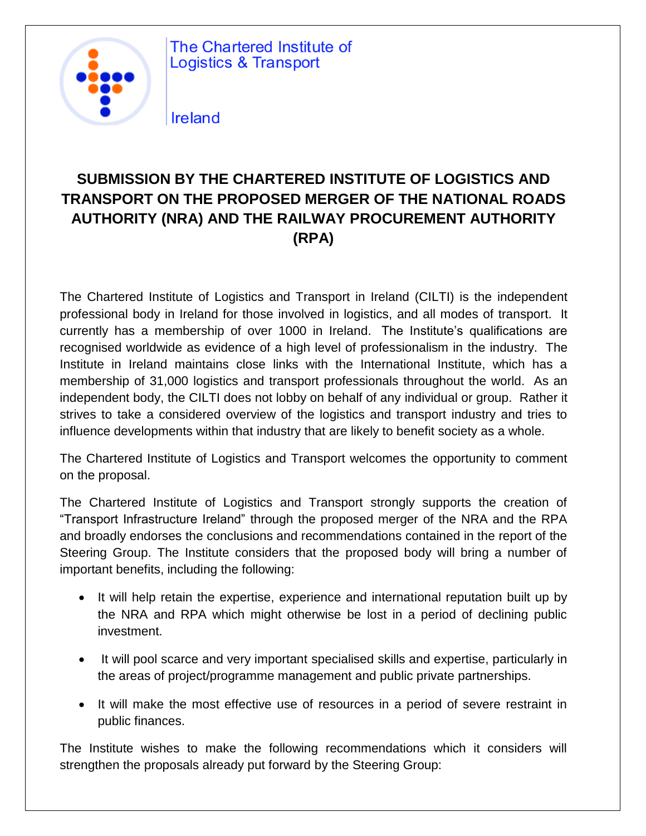

#### Ireland

# **SUBMISSION BY THE CHARTERED INSTITUTE OF LOGISTICS AND TRANSPORT ON THE PROPOSED MERGER OF THE NATIONAL ROADS AUTHORITY (NRA) AND THE RAILWAY PROCUREMENT AUTHORITY (RPA)**

The Chartered Institute of Logistics and Transport in Ireland (CILTI) is the independent professional body in Ireland for those involved in logistics, and all modes of transport. It currently has a membership of over 1000 in Ireland. The Institute's qualifications are recognised worldwide as evidence of a high level of professionalism in the industry. The Institute in Ireland maintains close links with the International Institute, which has a membership of 31,000 logistics and transport professionals throughout the world. As an independent body, the CILTI does not lobby on behalf of any individual or group. Rather it strives to take a considered overview of the logistics and transport industry and tries to influence developments within that industry that are likely to benefit society as a whole.

The Chartered Institute of Logistics and Transport welcomes the opportunity to comment on the proposal.

The Chartered Institute of Logistics and Transport strongly supports the creation of "Transport Infrastructure Ireland" through the proposed merger of the NRA and the RPA and broadly endorses the conclusions and recommendations contained in the report of the Steering Group. The Institute considers that the proposed body will bring a number of important benefits, including the following:

- It will help retain the expertise, experience and international reputation built up by the NRA and RPA which might otherwise be lost in a period of declining public investment.
- It will pool scarce and very important specialised skills and expertise, particularly in the areas of project/programme management and public private partnerships.
- It will make the most effective use of resources in a period of severe restraint in public finances.

The Institute wishes to make the following recommendations which it considers will strengthen the proposals already put forward by the Steering Group: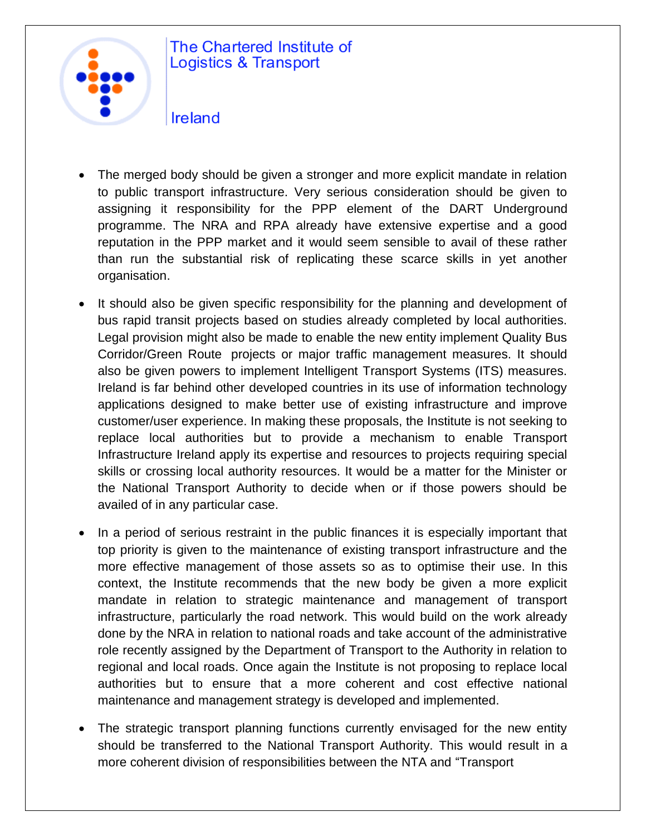

### Ireland

- The merged body should be given a stronger and more explicit mandate in relation to public transport infrastructure. Very serious consideration should be given to assigning it responsibility for the PPP element of the DART Underground programme. The NRA and RPA already have extensive expertise and a good reputation in the PPP market and it would seem sensible to avail of these rather than run the substantial risk of replicating these scarce skills in yet another organisation.
- It should also be given specific responsibility for the planning and development of bus rapid transit projects based on studies already completed by local authorities. Legal provision might also be made to enable the new entity implement Quality Bus Corridor/Green Route projects or major traffic management measures. It should also be given powers to implement Intelligent Transport Systems (ITS) measures. Ireland is far behind other developed countries in its use of information technology applications designed to make better use of existing infrastructure and improve customer/user experience. In making these proposals, the Institute is not seeking to replace local authorities but to provide a mechanism to enable Transport Infrastructure Ireland apply its expertise and resources to projects requiring special skills or crossing local authority resources. It would be a matter for the Minister or the National Transport Authority to decide when or if those powers should be availed of in any particular case.
- In a period of serious restraint in the public finances it is especially important that top priority is given to the maintenance of existing transport infrastructure and the more effective management of those assets so as to optimise their use. In this context, the Institute recommends that the new body be given a more explicit mandate in relation to strategic maintenance and management of transport infrastructure, particularly the road network. This would build on the work already done by the NRA in relation to national roads and take account of the administrative role recently assigned by the Department of Transport to the Authority in relation to regional and local roads. Once again the Institute is not proposing to replace local authorities but to ensure that a more coherent and cost effective national maintenance and management strategy is developed and implemented.
- The strategic transport planning functions currently envisaged for the new entity should be transferred to the National Transport Authority. This would result in a more coherent division of responsibilities between the NTA and "Transport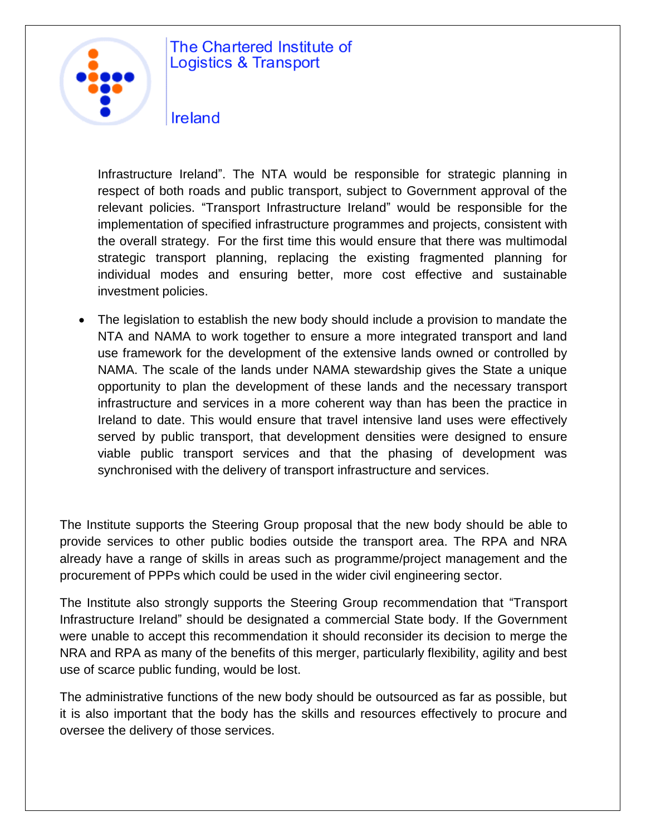

#### Ireland

Infrastructure Ireland". The NTA would be responsible for strategic planning in respect of both roads and public transport, subject to Government approval of the relevant policies. "Transport Infrastructure Ireland" would be responsible for the implementation of specified infrastructure programmes and projects, consistent with the overall strategy. For the first time this would ensure that there was multimodal strategic transport planning, replacing the existing fragmented planning for individual modes and ensuring better, more cost effective and sustainable investment policies.

 The legislation to establish the new body should include a provision to mandate the NTA and NAMA to work together to ensure a more integrated transport and land use framework for the development of the extensive lands owned or controlled by NAMA. The scale of the lands under NAMA stewardship gives the State a unique opportunity to plan the development of these lands and the necessary transport infrastructure and services in a more coherent way than has been the practice in Ireland to date. This would ensure that travel intensive land uses were effectively served by public transport, that development densities were designed to ensure viable public transport services and that the phasing of development was synchronised with the delivery of transport infrastructure and services.

The Institute supports the Steering Group proposal that the new body should be able to provide services to other public bodies outside the transport area. The RPA and NRA already have a range of skills in areas such as programme/project management and the procurement of PPPs which could be used in the wider civil engineering sector.

The Institute also strongly supports the Steering Group recommendation that "Transport Infrastructure Ireland" should be designated a commercial State body. If the Government were unable to accept this recommendation it should reconsider its decision to merge the NRA and RPA as many of the benefits of this merger, particularly flexibility, agility and best use of scarce public funding, would be lost.

The administrative functions of the new body should be outsourced as far as possible, but it is also important that the body has the skills and resources effectively to procure and oversee the delivery of those services.